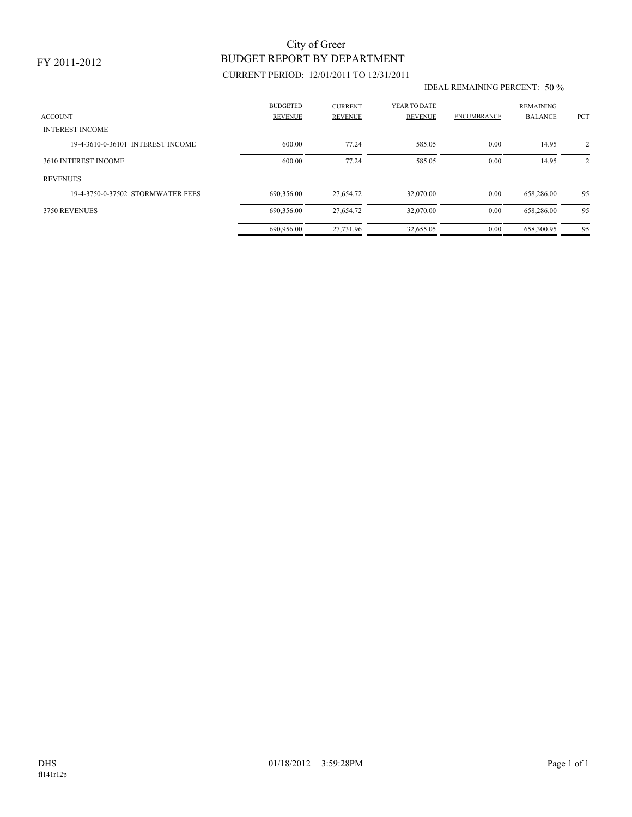### FY 2011-2012

# BUDGET REPORT BY DEPARTMENT City of Greer

## CURRENT PERIOD: 12/01/2011 TO 12/31/2011

#### IDEAL REMAINING PERCENT: 50 %

| <b>ACCOUNT</b>                    | <b>BUDGETED</b><br><b>REVENUE</b> | <b>CURRENT</b><br><b>REVENUE</b> | YEAR TO DATE<br>REVENUE | <b>ENCUMBRANCE</b> | <b>REMAINING</b><br><b>BALANCE</b> | <b>PCT</b> |
|-----------------------------------|-----------------------------------|----------------------------------|-------------------------|--------------------|------------------------------------|------------|
| <b>INTEREST INCOME</b>            |                                   |                                  |                         |                    |                                    |            |
| 19-4-3610-0-36101 INTEREST INCOME | 600.00                            | 77.24                            | 585.05                  | 0.00               | 14.95                              | 2          |
| 3610 INTEREST INCOME              | 600.00                            | 77.24                            | 585.05                  | 0.00               | 14.95                              | 2          |
| <b>REVENUES</b>                   |                                   |                                  |                         |                    |                                    |            |
| 19-4-3750-0-37502 STORMWATER FEES | 690,356.00                        | 27,654.72                        | 32,070.00               | 0.00               | 658,286.00                         | 95         |
| 3750 REVENUES                     | 690,356.00                        | 27,654.72                        | 32,070.00               | 0.00               | 658,286.00                         | 95         |
|                                   | 690.956.00                        | 27.731.96                        | 32.655.05               | 0.00               | 658.300.95                         | 95         |